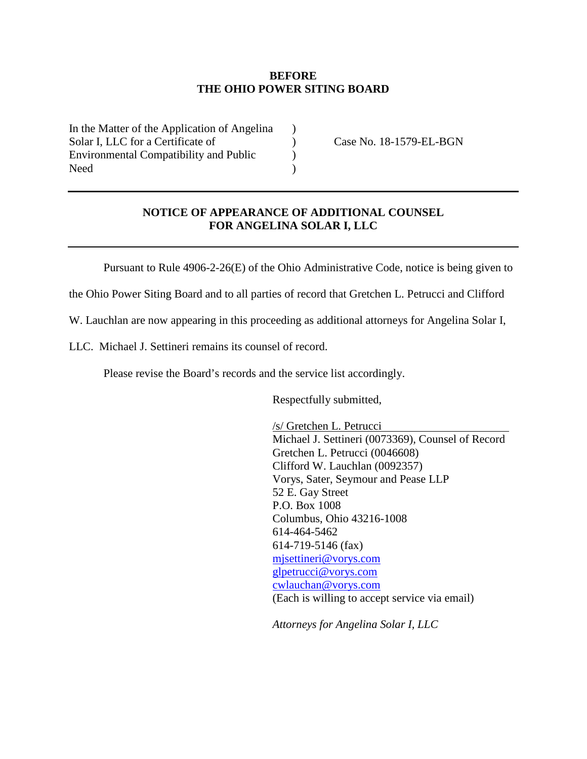## **BEFORE THE OHIO POWER SITING BOARD**

 $\lambda$ ) ) )

In the Matter of the Application of Angelina Solar I, LLC for a Certificate of Environmental Compatibility and Public Need

Case No. 18-1579-EL-BGN

## **NOTICE OF APPEARANCE OF ADDITIONAL COUNSEL FOR ANGELINA SOLAR I, LLC**

Pursuant to Rule 4906-2-26(E) of the Ohio Administrative Code, notice is being given to

the Ohio Power Siting Board and to all parties of record that Gretchen L. Petrucci and Clifford

W. Lauchlan are now appearing in this proceeding as additional attorneys for Angelina Solar I,

LLC. Michael J. Settineri remains its counsel of record.

Please revise the Board's records and the service list accordingly.

Respectfully submitted,

/s/ Gretchen L. Petrucci Michael J. Settineri (0073369), Counsel of Record Gretchen L. Petrucci (0046608) Clifford W. Lauchlan (0092357) Vorys, Sater, Seymour and Pease LLP 52 E. Gay Street P.O. Box 1008 Columbus, Ohio 43216-1008 614-464-5462 614-719-5146 (fax) mjsettineri@vorys.com glpetrucci@vorys.com cwlauchan@vorys.com (Each is willing to accept service via email)

*Attorneys for Angelina Solar I, LLC*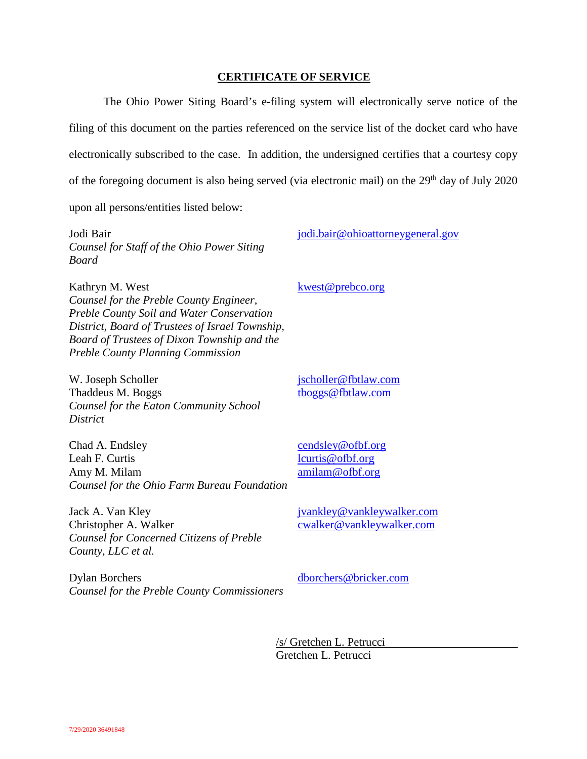## **CERTIFICATE OF SERVICE**

The Ohio Power Siting Board's e-filing system will electronically serve notice of the filing of this document on the parties referenced on the service list of the docket card who have electronically subscribed to the case. In addition, the undersigned certifies that a courtesy copy of the foregoing document is also being served (via electronic mail) on the  $29<sup>th</sup>$  day of July 2020

upon all persons/entities listed below:

Jodi Bair *Counsel for Staff of the Ohio Power Siting Board* 

jodi.bair@ohioattorneygeneral.gov

Kathryn M. West *Counsel for the Preble County Engineer, Preble County Soil and Water Conservation District, Board of Trustees of Israel Township, Board of Trustees of Dixon Township and the Preble County Planning Commission* 

## kwest@prebco.org

W. Joseph Scholler Thaddeus M. Boggs *Counsel for the Eaton Community School District* 

jscholler@fbtlaw.com tboggs@fbtlaw.com

Chad A. Endsley Leah F. Curtis Amy M. Milam *Counsel for the Ohio Farm Bureau Foundation* cendsley@ofbf.org lcurtis@ofbf.org amilam@ofbf.org

jvankley@vankleywalker.com cwalker@vankleywalker.com

Jack A. Van Kley Christopher A. Walker *Counsel for Concerned Citizens of Preble County, LLC et al.* 

Dylan Borchers *Counsel for the Preble County Commissioners*  dborchers@bricker.com

/s/ Gretchen L. Petrucci Gretchen L. Petrucci